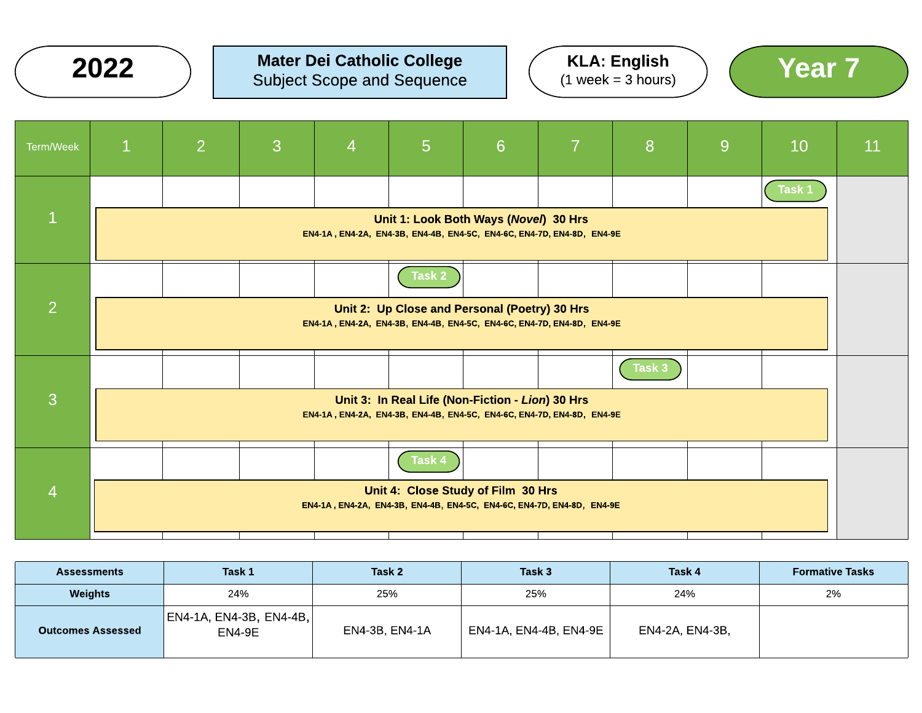

#### $2022$  ) Mater Dei Catholic College  $(1 \text{ week} = 3 \text{ hours})$  (Year  $7$ Mater Dei Catholic College Subject Scope and Sequence





| Term/Week       | $\overline{1}$ | $\overline{2}$ | 3 | $\overline{4}$ | $5\phantom{1}$ | 6                                                                                                                          | $\overline{7}$ | 8      | 9 | 10     | 11 |
|-----------------|----------------|----------------|---|----------------|----------------|----------------------------------------------------------------------------------------------------------------------------|----------------|--------|---|--------|----|
|                 |                |                |   |                |                |                                                                                                                            |                |        |   | Task 1 |    |
| $\vert 1 \vert$ |                |                |   |                |                | Unit 1: Look Both Ways (Novel) 30 Hrs<br>EN4-1A, EN4-2A, EN4-3B, EN4-4B, EN4-5C, EN4-6C, EN4-7D, EN4-8D, EN4-9E            |                |        |   |        |    |
|                 |                |                |   |                | Task 2         |                                                                                                                            |                |        |   |        |    |
| $\overline{2}$  |                |                |   |                |                | Unit 2: Up Close and Personal (Poetry) 30 Hrs<br>EN4-1A, EN4-2A, EN4-3B, EN4-4B, EN4-5C, EN4-6C, EN4-7D, EN4-8D, EN4-9E    |                |        |   |        |    |
|                 |                |                |   |                |                |                                                                                                                            |                | Task 3 |   |        |    |
| 3               |                |                |   |                |                | Unit 3: In Real Life (Non-Fiction - Lion) 30 Hrs<br>EN4-1A, EN4-2A, EN4-3B, EN4-4B, EN4-5C, EN4-6C, EN4-7D, EN4-8D, EN4-9E |                |        |   |        |    |
|                 |                |                |   |                | Task 4         |                                                                                                                            |                |        |   |        |    |
| $\overline{4}$  |                |                |   |                |                | Unit 4: Close Study of Film 30 Hrs<br>EN4-1A, EN4-2A, EN4-3B, EN4-4B, EN4-5C, EN4-6C, EN4-7D, EN4-8D, EN4-9E               |                |        |   |        |    |

| <b>Assessments</b>       | Task 1                             | Task 2         | Task 3                 | Task 4          | <b>Formative Tasks</b> |
|--------------------------|------------------------------------|----------------|------------------------|-----------------|------------------------|
| <b>Weights</b>           | 24%                                | 25%            | 25%                    | 24%             | 2%                     |
| <b>Outcomes Assessed</b> | EN4-1A, EN4-3B, EN4-4B, <br>EN4-9E | EN4-3B, EN4-1A | EN4-1A, EN4-4B, EN4-9E | EN4-2A, EN4-3B, |                        |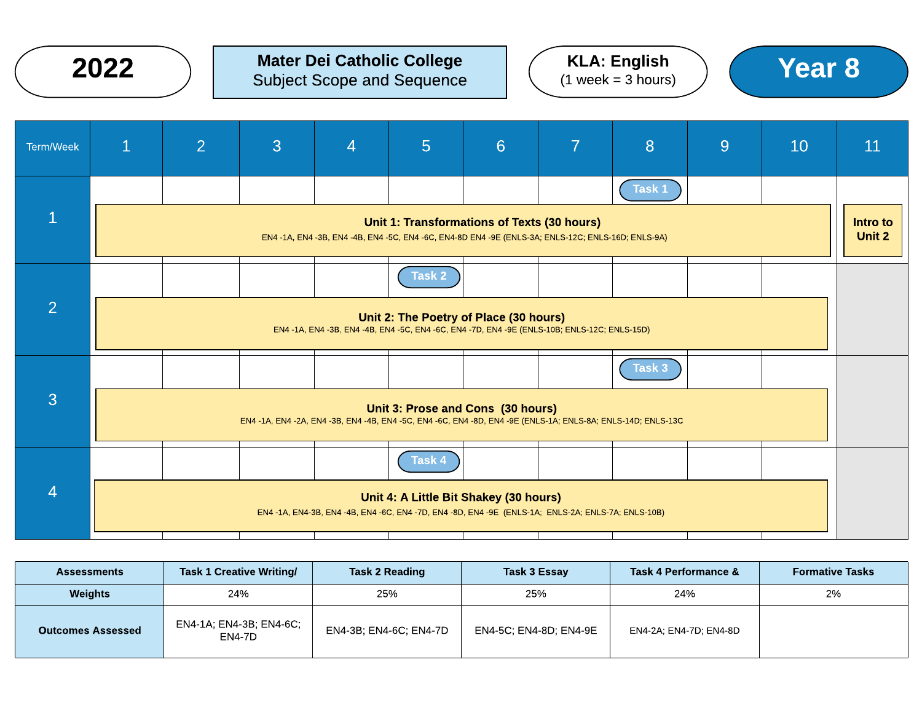

#### $2022$  ) Mater Dei Catholic College  $(1 \text{ week} = 3 \text{ hours})$  (Year  $8$ Mater Dei Catholic College Subject Scope and Sequence





| Term/Week      | $\mathbf{1}$                                                                                                                              | $\overline{2}$ | 3 | $\overline{4}$ | $5\phantom{1}$                              | 6 | 7                                                                                                  | 8      | 9 | 10 | 11                 |
|----------------|-------------------------------------------------------------------------------------------------------------------------------------------|----------------|---|----------------|---------------------------------------------|---|----------------------------------------------------------------------------------------------------|--------|---|----|--------------------|
|                |                                                                                                                                           |                |   |                |                                             |   |                                                                                                    | Task 1 |   |    |                    |
| $\mathbf{1}$   |                                                                                                                                           |                |   |                | Unit 1: Transformations of Texts (30 hours) |   | EN4 -1A, EN4 -3B, EN4 -4B, EN4 -5C, EN4 -6C, EN4-8D EN4 -9E (ENLS-3A; ENLS-12C; ENLS-16D; ENLS-9A) |        |   |    | Intro to<br>Unit 2 |
|                |                                                                                                                                           |                |   |                | Task 2                                      |   |                                                                                                    |        |   |    |                    |
| $\overline{2}$ | Unit 2: The Poetry of Place (30 hours)<br>EN4 -1A, EN4 -3B, EN4 -4B, EN4 -5C, EN4 -6C, EN4 -7D, EN4 -9E (ENLS-10B; ENLS-12C; ENLS-15D)    |                |   |                |                                             |   |                                                                                                    |        |   |    |                    |
|                |                                                                                                                                           |                |   |                |                                             |   |                                                                                                    | Task 3 |   |    |                    |
| $\overline{3}$ | Unit 3: Prose and Cons (30 hours)<br>EN4-1A, EN4-2A, EN4-3B, EN4-4B, EN4-5C, EN4-6C, EN4-8D, EN4-9E (ENLS-1A; ENLS-8A; ENLS-14D; ENLS-13C |                |   |                |                                             |   |                                                                                                    |        |   |    |                    |
|                |                                                                                                                                           |                |   |                | Task 4                                      |   |                                                                                                    |        |   |    |                    |
| $\overline{4}$ |                                                                                                                                           |                |   |                | Unit 4: A Little Bit Shakey (30 hours)      |   | EN4 -1A, EN4-3B, EN4 -4B, EN4 -6C, EN4 -7D, EN4 -8D, EN4 -9E (ENLS-1A; ENLS-2A; ENLS-7A; ENLS-10B) |        |   |    |                    |

| <b>Assessments</b>       | <b>Task 1 Creative Writing/</b>   | <b>Task 2 Reading</b>  | Task 3 Essay           | Task 4 Performance &   | <b>Formative Tasks</b> |
|--------------------------|-----------------------------------|------------------------|------------------------|------------------------|------------------------|
| <b>Weights</b>           | 24%                               |                        | 25%                    | 24%                    | 2%                     |
| <b>Outcomes Assessed</b> | EN4-1A; EN4-3B; EN4-6C;<br>EN4-7D | EN4-3B; EN4-6C; EN4-7D | EN4-5C; EN4-8D; EN4-9E | EN4-2A: EN4-7D: EN4-8D |                        |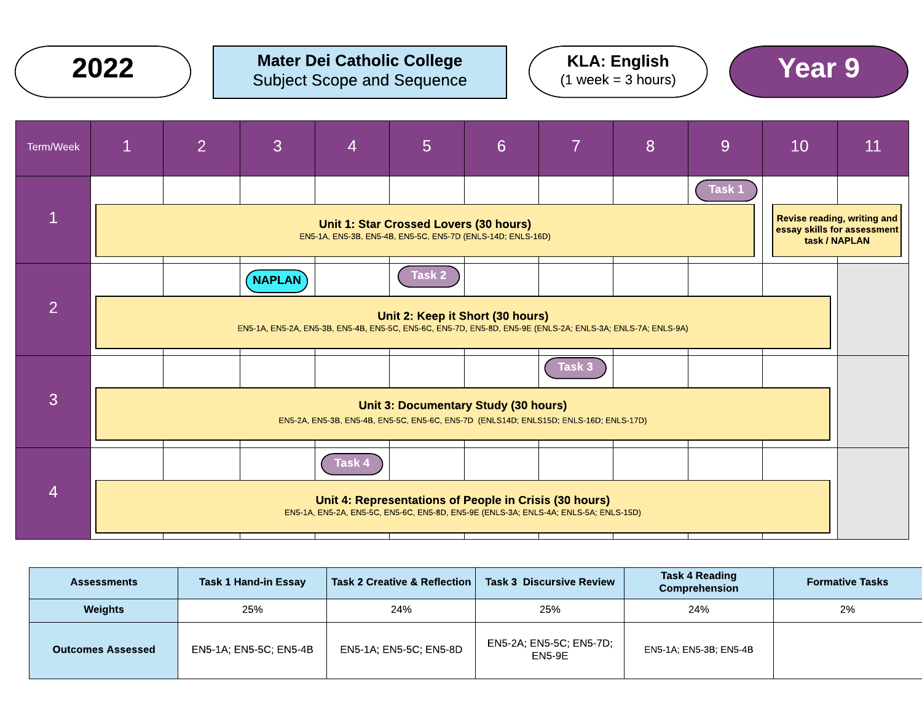|                | 2022         |                |                                                                                                                              | <b>Mater Dei Catholic College</b><br><b>Subject Scope and Sequence</b> |                                             |                 |                                                                                                                                                | <b>KLA: English</b><br>$(1 week = 3 hours)$ |        | <b>Year 9</b> |                                                                             |
|----------------|--------------|----------------|------------------------------------------------------------------------------------------------------------------------------|------------------------------------------------------------------------|---------------------------------------------|-----------------|------------------------------------------------------------------------------------------------------------------------------------------------|---------------------------------------------|--------|---------------|-----------------------------------------------------------------------------|
| Term/Week      | $\mathbf{1}$ | $\overline{2}$ | 3                                                                                                                            | $\overline{4}$                                                         | 5                                           | $6\overline{6}$ | $\overline{7}$                                                                                                                                 | 8                                           | 9      | 10            | 11                                                                          |
| $\mathbf{1}$   |              |                |                                                                                                                              | EN5-1A, EN5-3B, EN5-4B, EN5-5C, EN5-7D (ENLS-14D; ENLS-16D)            | Unit 1: Star Crossed Lovers (30 hours)      |                 |                                                                                                                                                |                                             | Task 1 |               | Revise reading, writing and<br>essay skills for assessment<br>task / NAPLAN |
| $\overline{2}$ |              |                | <b>NAPLAN</b><br>EN5-1A, EN5-2A, EN5-3B, EN5-4B, EN5-5C, EN5-6C, EN5-7D, EN5-8D, EN5-9E (ENLS-2A; ENLS-3A; ENLS-7A; ENLS-9A) |                                                                        | Task 2<br>Unit 2: Keep it Short (30 hours)  |                 |                                                                                                                                                |                                             |        |               |                                                                             |
| 3              |              |                |                                                                                                                              |                                                                        | <b>Unit 3: Documentary Study (30 hours)</b> |                 | Task 3<br>EN5-2A, EN5-3B, EN5-4B, EN5-5C, EN5-6C, EN5-7D (ENLS14D; ENLS15D; ENLS-16D; ENLS-17D)                                                |                                             |        |               |                                                                             |
| $\overline{4}$ |              |                |                                                                                                                              | Task 4                                                                 |                                             |                 | Unit 4: Representations of People in Crisis (30 hours)<br>EN5-1A, EN5-2A, EN5-5C, EN5-6C, EN5-8D, EN5-9E (ENLS-3A; ENLS-4A; ENLS-5A; ENLS-15D) |                                             |        |               |                                                                             |

| <b>Assessments</b>       | Task 1 Hand-in Essay   |                        | <b>Task 3 Discursive Review</b><br>  Task 2 Creative & Reflection | <b>Task 4 Reading</b><br><b>Comprehension</b> | <b>Formative Tasks</b> |
|--------------------------|------------------------|------------------------|-------------------------------------------------------------------|-----------------------------------------------|------------------------|
| Weights                  | 25%                    | 24%                    | 25%                                                               | 24%                                           | 2%                     |
| <b>Outcomes Assessed</b> | EN5-1A; EN5-5C; EN5-4B | EN5-1A; EN5-5C; EN5-8D | EN5-2A; EN5-5C; EN5-7D;<br>EN5-9E                                 | EN5-1A: EN5-3B: EN5-4B                        |                        |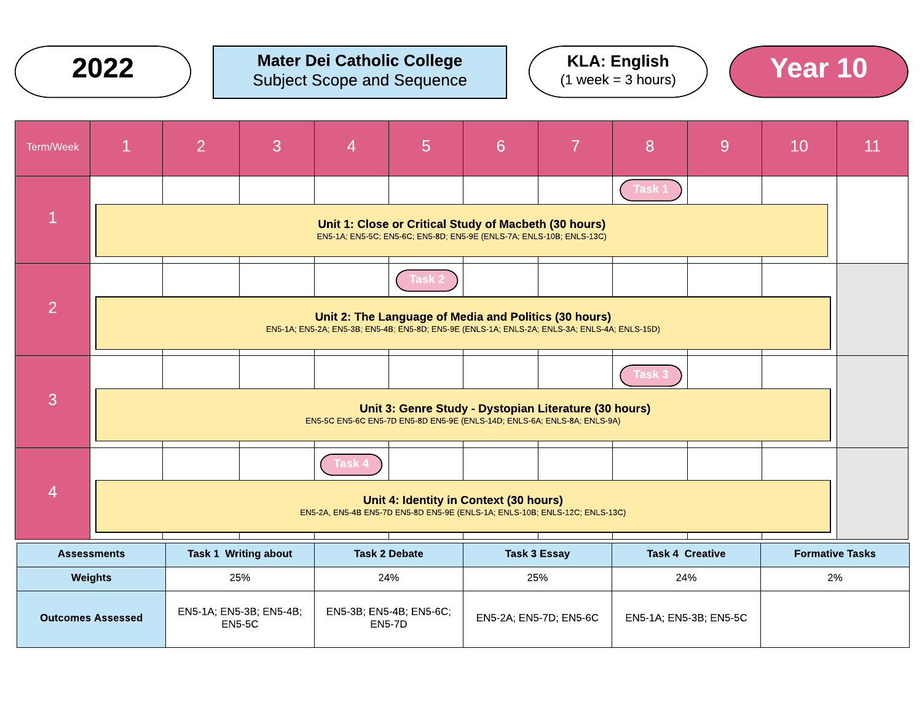

#### $2022$  ) Mater Dei Catholic College  $(1 \text{ week} = 3 \text{ hours})$  (Year  $10$ Mater Dei Catholic College Subject Scope and Sequence





| <b>Term/Week</b> | $\mathbf{1}$                                                                                                          | $\overline{2}$ | 3                                        | 4      | 5                                           | 6                                                                                                                                                      | $\overline{7}$         | 8                      | 9 | 10                     | 11 |
|------------------|-----------------------------------------------------------------------------------------------------------------------|----------------|------------------------------------------|--------|---------------------------------------------|--------------------------------------------------------------------------------------------------------------------------------------------------------|------------------------|------------------------|---|------------------------|----|
|                  |                                                                                                                       |                |                                          |        |                                             |                                                                                                                                                        |                        | Task 1                 |   |                        |    |
| $\mathbf{1}$     |                                                                                                                       |                |                                          |        |                                             | Unit 1: Close or Critical Study of Macbeth (30 hours)<br>EN5-1A; EN5-5C; EN5-6C; EN5-8D; EN5-9E (ENLS-7A; ENLS-10B; ENLS-13C)                          |                        |                        |   |                        |    |
|                  |                                                                                                                       |                |                                          |        | <b>Task</b>                                 |                                                                                                                                                        |                        |                        |   |                        |    |
| $\overline{2}$   |                                                                                                                       |                |                                          |        |                                             | Unit 2: The Language of Media and Politics (30 hours)<br>EN5-1A; EN5-2A; EN5-3B; EN5-4B; EN5-8D; EN5-9E (ENLS-1A; ENLS-2A; ENLS-3A; ENLS-4A; ENLS-15D) |                        |                        |   |                        |    |
|                  |                                                                                                                       |                |                                          |        |                                             |                                                                                                                                                        |                        | Task 3                 |   |                        |    |
| 3                |                                                                                                                       |                |                                          |        |                                             | Unit 3: Genre Study - Dystopian Literature (30 hours)<br>EN5-5C EN5-6C EN5-7D EN5-8D EN5-9E (ENLS-14D; ENLS-6A; ENLS-8A; ENLS-9A)                      |                        |                        |   |                        |    |
|                  |                                                                                                                       |                |                                          | Task 4 |                                             |                                                                                                                                                        |                        |                        |   |                        |    |
| $\overline{4}$   | Unit 4: Identity in Context (30 hours)<br>EN5-2A, EN5-4B EN5-7D EN5-8D EN5-9E (ENLS-1A; ENLS-10B; ENLS-12C; ENLS-13C) |                |                                          |        |                                             |                                                                                                                                                        |                        |                        |   |                        |    |
|                  | <b>Task 1 Writing about</b><br><b>Assessments</b>                                                                     |                |                                          |        | <b>Task 2 Debate</b><br><b>Task 3 Essay</b> |                                                                                                                                                        |                        | <b>Task 4 Creative</b> |   | <b>Formative Tasks</b> |    |
|                  | 25%<br>Weights<br>24%<br>25%<br>24%                                                                                   |                |                                          | 2%     |                                             |                                                                                                                                                        |                        |                        |   |                        |    |
|                  | <b>Outcomes Assessed</b>                                                                                              |                | EN5-1A; EN5-3B; EN5-4B;<br><b>EN5-5C</b> |        | EN5-3B; EN5-4B; EN5-6C;<br><b>EN5-7D</b>    |                                                                                                                                                        | EN5-2A; EN5-7D; EN5-6C | EN5-1A; EN5-3B; EN5-5C |   |                        |    |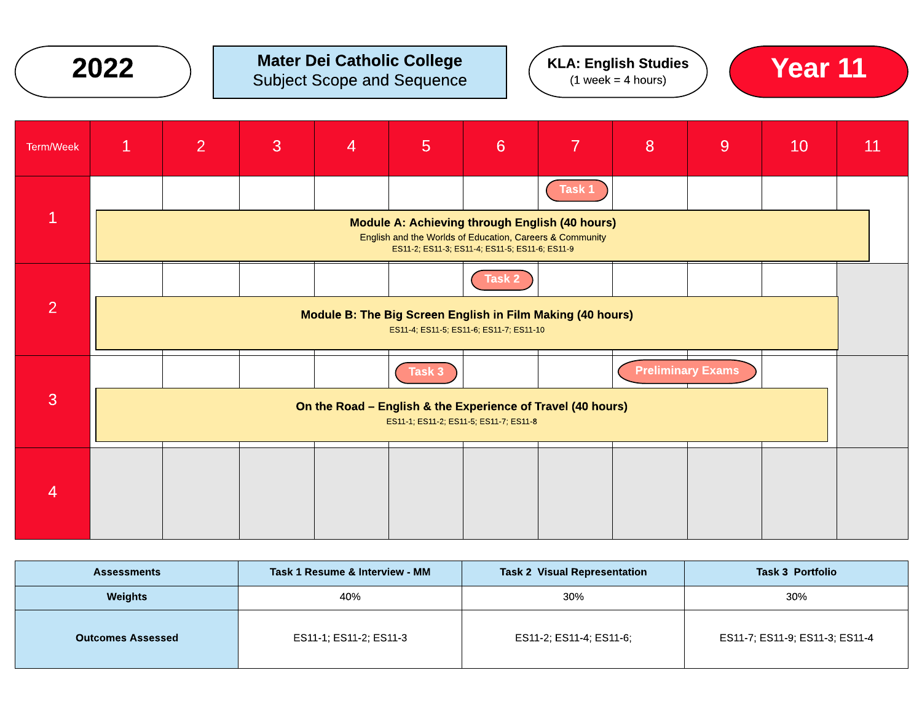

## $2022$  ) Mater Dei Catholic College  $(1 \text{ week} = 4 \text{ hours})$   $(1 \text{ week} = 4 \text{ hours})$   $(2022)$ Subject Scope and Sequence





| Term/Week    | $\mathbf{1}$                                                                                                                                                 | $\overline{2}$ | 3 | $\overline{4}$ | 5      | $6\phantom{a}$ | 7      | 8 | 9                        | 10 | 11 |
|--------------|--------------------------------------------------------------------------------------------------------------------------------------------------------------|----------------|---|----------------|--------|----------------|--------|---|--------------------------|----|----|
|              |                                                                                                                                                              |                |   |                |        |                | Task 1 |   |                          |    |    |
| $\mathbf{1}$ | Module A: Achieving through English (40 hours)<br>English and the Worlds of Education, Careers & Community<br>ES11-2; ES11-3; ES11-4; ES11-5; ES11-6; ES11-9 |                |   |                |        |                |        |   |                          |    |    |
|              |                                                                                                                                                              |                |   |                |        | Task 2         |        |   |                          |    |    |
| 2            | Module B: The Big Screen English in Film Making (40 hours)<br>ES11-4; ES11-5; ES11-6; ES11-7; ES11-10                                                        |                |   |                |        |                |        |   |                          |    |    |
|              |                                                                                                                                                              |                |   |                | Task 3 |                |        |   | <b>Preliminary Exams</b> |    |    |
| 3            | On the Road - English & the Experience of Travel (40 hours)<br>ES11-1; ES11-2; ES11-5; ES11-7; ES11-8                                                        |                |   |                |        |                |        |   |                          |    |    |
|              |                                                                                                                                                              |                |   |                |        |                |        |   |                          |    |    |
| 4            |                                                                                                                                                              |                |   |                |        |                |        |   |                          |    |    |
|              |                                                                                                                                                              |                |   |                |        |                |        |   |                          |    |    |

| <b>Assessments</b>       | Task 1 Resume & Interview - MM | <b>Task 2 Visual Representation</b> | <b>Task 3 Portfolio</b>        |  |  |
|--------------------------|--------------------------------|-------------------------------------|--------------------------------|--|--|
| Weights                  | 40%                            | 30%                                 | 30%                            |  |  |
| <b>Outcomes Assessed</b> | ES11-1; ES11-2; ES11-3         | ES11-2; ES11-4; ES11-6;             | ES11-7; ES11-9; ES11-3; ES11-4 |  |  |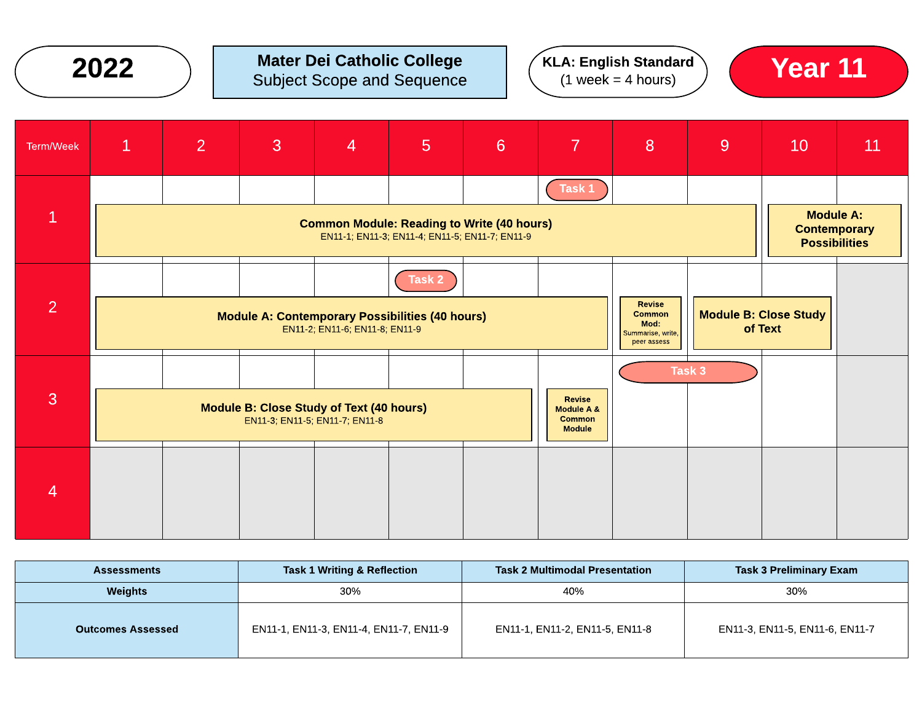| 2022 |
|------|
|------|

### $2022$  ) Mater Dei Catholic College  $(1 \text{ week} = 4 \text{ hours})$   $(1 \text{ week} = 4 \text{ hours})$  Year 11 Subject Scope and Sequence





| Term/Week    | $\mathbf{1}$                                                                                                                                                    | 2 | 3 | 4                                                                                 | 5      | 6 <sup>1</sup> | $\overline{7}$                                                | 8 | 9                                       | 10                                                              | 11 |
|--------------|-----------------------------------------------------------------------------------------------------------------------------------------------------------------|---|---|-----------------------------------------------------------------------------------|--------|----------------|---------------------------------------------------------------|---|-----------------------------------------|-----------------------------------------------------------------|----|
|              |                                                                                                                                                                 |   |   |                                                                                   |        |                | Task 1                                                        |   |                                         |                                                                 |    |
| $\mathbf{1}$ | <b>Common Module: Reading to Write (40 hours)</b><br>EN11-1; EN11-3; EN11-4; EN11-5; EN11-7; EN11-9                                                             |   |   |                                                                                   |        |                |                                                               |   |                                         | <b>Module A:</b><br><b>Contemporary</b><br><b>Possibilities</b> |    |
|              |                                                                                                                                                                 |   |   |                                                                                   | Task 2 |                |                                                               |   |                                         |                                                                 |    |
| 2            | Revise<br><b>Common</b><br><b>Module A: Contemporary Possibilities (40 hours)</b><br>Mod:<br>EN11-2; EN11-6; EN11-8; EN11-9<br>Summarise, write,<br>peer assess |   |   |                                                                                   |        |                |                                                               |   | <b>Module B: Close Study</b><br>of Text |                                                                 |    |
|              |                                                                                                                                                                 |   |   |                                                                                   |        |                |                                                               |   | Task 3                                  |                                                                 |    |
| 3            |                                                                                                                                                                 |   |   | <b>Module B: Close Study of Text (40 hours)</b><br>EN11-3; EN11-5; EN11-7; EN11-8 |        |                | <b>Revise</b><br>Module A &<br><b>Common</b><br><b>Module</b> |   |                                         |                                                                 |    |
|              |                                                                                                                                                                 |   |   |                                                                                   |        |                |                                                               |   |                                         |                                                                 |    |
| 4            |                                                                                                                                                                 |   |   |                                                                                   |        |                |                                                               |   |                                         |                                                                 |    |
|              |                                                                                                                                                                 |   |   |                                                                                   |        |                |                                                               |   |                                         |                                                                 |    |

| <b>Assessments</b>       | Task 1 Writing & Reflection            | <b>Task 2 Multimodal Presentation</b> | <b>Task 3 Preliminary Exam</b> |
|--------------------------|----------------------------------------|---------------------------------------|--------------------------------|
| Weights                  | 30%                                    | 40%                                   | 30%                            |
| <b>Outcomes Assessed</b> | EN11-1, EN11-3, EN11-4, EN11-7, EN11-9 | EN11-1, EN11-2, EN11-5, EN11-8        | EN11-3, EN11-5, EN11-6, EN11-7 |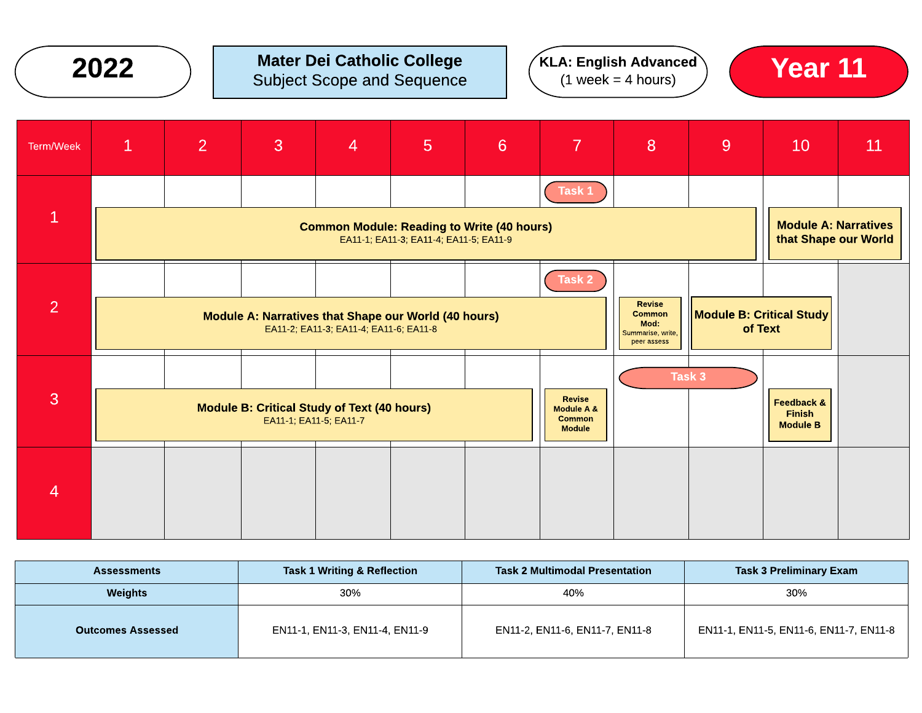### $2022$  ) Mater Dei Catholic College  $(1 \text{ week} = 4 \text{ hours})$   $(1 \text{ week} = 4 \text{ hours})$  Year 11 Subject Scope and Sequence





| Term/Week      | $\mathbf{1}$                                                                                | $\overline{2}$                                                                                 | 3 | $\overline{4}$ | $5\overline{)}$ | 6 | $\overline{7}$                                                | 8 | 9                                                   | 10                                                        | 11 |
|----------------|---------------------------------------------------------------------------------------------|------------------------------------------------------------------------------------------------|---|----------------|-----------------|---|---------------------------------------------------------------|---|-----------------------------------------------------|-----------------------------------------------------------|----|
|                |                                                                                             |                                                                                                |   |                |                 |   | Task 1                                                        |   |                                                     |                                                           |    |
| $\overline{1}$ | <b>Common Module: Reading to Write (40 hours)</b><br>EA11-1; EA11-3; EA11-4; EA11-5; EA11-9 |                                                                                                |   |                |                 |   |                                                               |   | <b>Module A: Narratives</b><br>that Shape our World |                                                           |    |
|                |                                                                                             |                                                                                                |   |                |                 |   | Task 2                                                        |   |                                                     |                                                           |    |
| $\overline{2}$ |                                                                                             | Module A: Narratives that Shape our World (40 hours)<br>EA11-2; EA11-3; EA11-4; EA11-6; EA11-8 |   |                |                 |   |                                                               |   |                                                     | Module B: Critical Study<br>of Text                       |    |
|                |                                                                                             |                                                                                                |   |                |                 |   |                                                               |   | Task 3                                              |                                                           |    |
| 3              | <b>Module B: Critical Study of Text (40 hours)</b><br>EA11-1; EA11-5; EA11-7                |                                                                                                |   |                |                 |   | <b>Revise</b><br>Module A &<br><b>Common</b><br><b>Module</b> |   |                                                     | <b>Feedback &amp;</b><br><b>Finish</b><br><b>Module B</b> |    |
|                |                                                                                             |                                                                                                |   |                |                 |   |                                                               |   |                                                     |                                                           |    |
| 4              |                                                                                             |                                                                                                |   |                |                 |   |                                                               |   |                                                     |                                                           |    |

| <b>Assessments</b>       | <b>Task 1 Writing &amp; Reflection</b> | <b>Task 2 Multimodal Presentation</b> | <b>Task 3 Preliminary Exam</b>         |  |  |
|--------------------------|----------------------------------------|---------------------------------------|----------------------------------------|--|--|
| Weights                  | 30%                                    | 40%                                   | 30%                                    |  |  |
| <b>Outcomes Assessed</b> | EN11-1, EN11-3, EN11-4, EN11-9         | EN11-2, EN11-6, EN11-7, EN11-8        | EN11-1, EN11-5, EN11-6, EN11-7, EN11-8 |  |  |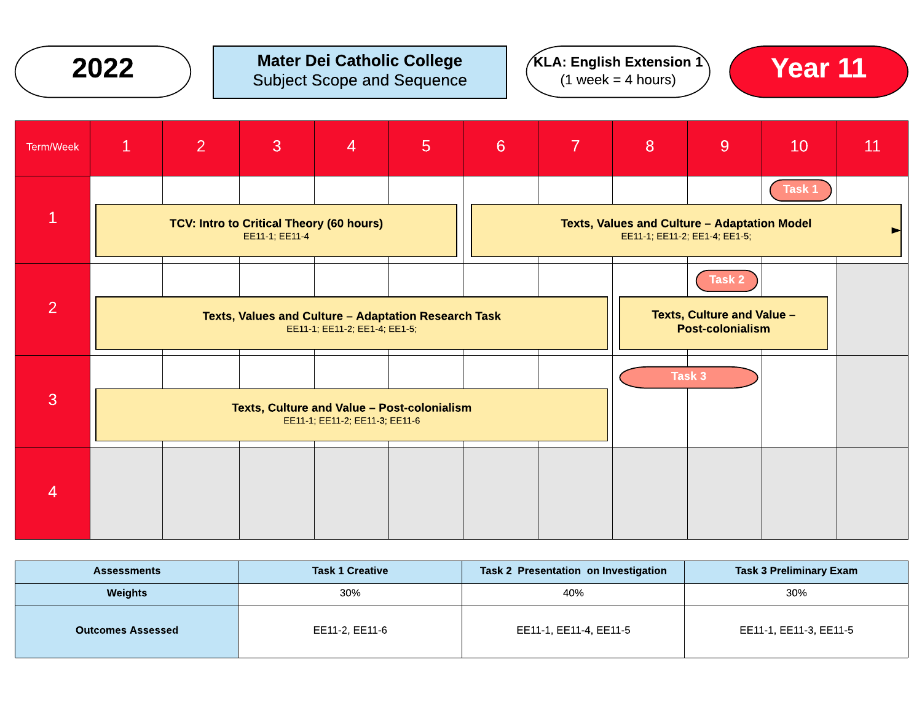

### $2022$  ) Mater Dei Catholic College  $(1 \text{ week} = 4 \text{ hours})$   $(1 \text{ week} = 4 \text{ hours})$  Year 11 Subject Scope and Sequence





| Term/Week      | $\mathbf{1}$                                                                          | $\overline{2}$ | 3 | $\overline{4}$ | 5 <sup>5</sup> | 6 <sup>1</sup> | 7 | 8 | 9                                                                             | 10     | 11 |
|----------------|---------------------------------------------------------------------------------------|----------------|---|----------------|----------------|----------------|---|---|-------------------------------------------------------------------------------|--------|----|
| $\mathbf{1}$   | TCV: Intro to Critical Theory (60 hours)<br>EE11-1, EE11-4                            |                |   |                |                |                |   |   | Texts, Values and Culture - Adaptation Model<br>EE11-1; EE11-2; EE1-4; EE1-5; | Task 1 |    |
| $\overline{2}$ | Texts, Values and Culture - Adaptation Research Task<br>EE11-1; EE11-2; EE1-4; EE1-5; |                |   |                |                |                |   |   | Task 2<br><b>Texts, Culture and Value -</b><br><b>Post-colonialism</b>        |        |    |
| $\overline{3}$ | Texts, Culture and Value - Post-colonialism<br>EE11-1; EE11-2; EE11-3; EE11-6         |                |   |                |                |                |   |   | Task 3                                                                        |        |    |
| 4              |                                                                                       |                |   |                |                |                |   |   |                                                                               |        |    |

| <b>Assessments</b>       | <b>Task 1 Creative</b> | Task 2 Presentation on Investigation | <b>Task 3 Preliminary Exam</b> |
|--------------------------|------------------------|--------------------------------------|--------------------------------|
| <b>Weights</b>           | 30%                    | 40%                                  | 30%                            |
| <b>Outcomes Assessed</b> | EE11-2, EE11-6         | EE11-1, EE11-4, EE11-5               | EE11-1, EE11-3, EE11-5         |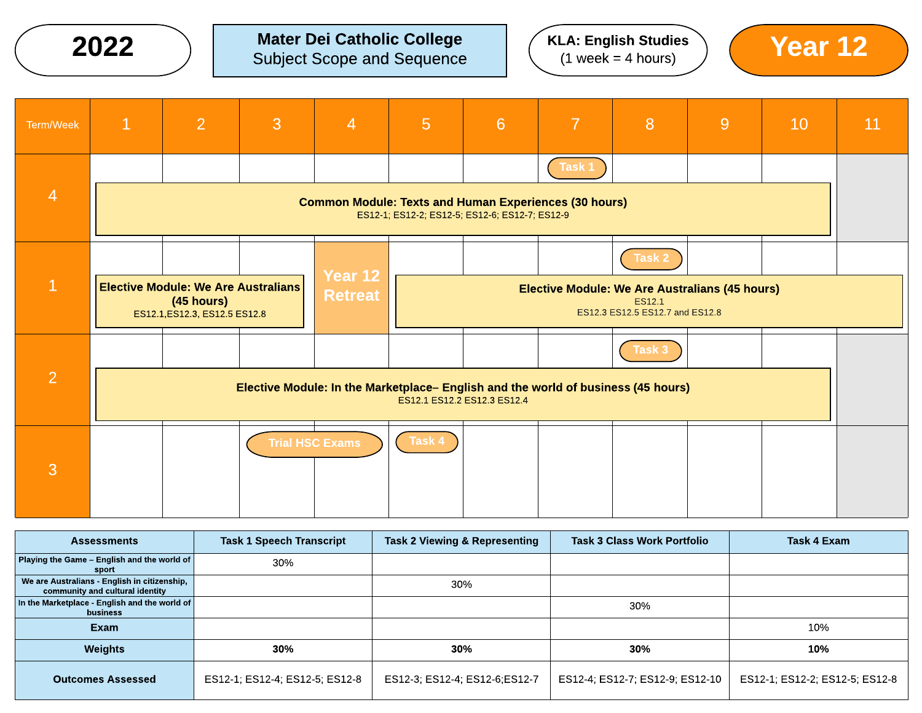$\left(2022\phantom{.0}\right)\phantom{0}$  Mater Dei Catholic College  $\left($  KLA: English Studies  $\right)$   $\left($  Year 12



| Term/Week      | $\mathbf{1}$                                                                              | 2 | 3 | $\overline{4}$            | $5\overline{)}$                                                                                                | 6                                                                                                         | 7                                                                                 | 8             | 9 | 10 | 11 |
|----------------|-------------------------------------------------------------------------------------------|---|---|---------------------------|----------------------------------------------------------------------------------------------------------------|-----------------------------------------------------------------------------------------------------------|-----------------------------------------------------------------------------------|---------------|---|----|----|
|                |                                                                                           |   |   |                           |                                                                                                                |                                                                                                           | Task 1                                                                            |               |   |    |    |
| $\overline{4}$ |                                                                                           |   |   |                           | <b>Common Module: Texts and Human Experiences (30 hours)</b><br>ES12-1; ES12-2; ES12-5; ES12-6; ES12-7; ES12-9 |                                                                                                           |                                                                                   |               |   |    |    |
|                |                                                                                           |   |   |                           |                                                                                                                |                                                                                                           |                                                                                   | Task 2        |   |    |    |
| $\mathbf{1}$   | <b>Elective Module: We Are Australians</b><br>(45 hours)<br>ES12.1, ES12.3, ES12.5 ES12.8 |   |   | Year 12<br><b>Retreat</b> |                                                                                                                | <b>Elective Module: We Are Australians (45 hours)</b><br><b>ES12.1</b><br>ES12.3 ES12.5 ES12.7 and ES12.8 |                                                                                   |               |   |    |    |
|                |                                                                                           |   |   |                           |                                                                                                                |                                                                                                           |                                                                                   | <b>Task 3</b> |   |    |    |
| 2              |                                                                                           |   |   |                           |                                                                                                                | ES12.1 ES12.2 ES12.3 ES12.4                                                                               | Elective Module: In the Marketplace- English and the world of business (45 hours) |               |   |    |    |
|                | Task 4<br><b>Trial HSC Exams</b>                                                          |   |   |                           |                                                                                                                |                                                                                                           |                                                                                   |               |   |    |    |
| 3              |                                                                                           |   |   |                           |                                                                                                                |                                                                                                           |                                                                                   |               |   |    |    |

| <b>Assessments</b>                                                              | <b>Task 1 Speech Transcript</b> | <b>Task 2 Viewing &amp; Representing</b> | <b>Task 3 Class Work Portfolio</b> | Task 4 Exam                    |
|---------------------------------------------------------------------------------|---------------------------------|------------------------------------------|------------------------------------|--------------------------------|
| Playing the Game - English and the world of<br>sport                            | 30%                             |                                          |                                    |                                |
| We are Australians - English in citizenship,<br>community and cultural identity |                                 | 30%                                      |                                    |                                |
| In the Marketplace - English and the world of<br>business                       |                                 |                                          | 30%                                |                                |
| Exam                                                                            |                                 |                                          |                                    | 10%                            |
| <b>Weights</b>                                                                  | 30%                             | 30%                                      | 30%                                | 10%                            |
| <b>Outcomes Assessed</b>                                                        | ES12-1; ES12-4; ES12-5; ES12-8  | ES12-3; ES12-4; ES12-6; ES12-7           | ES12-4; ES12-7; ES12-9; ES12-10    | ES12-1; ES12-2; ES12-5; ES12-8 |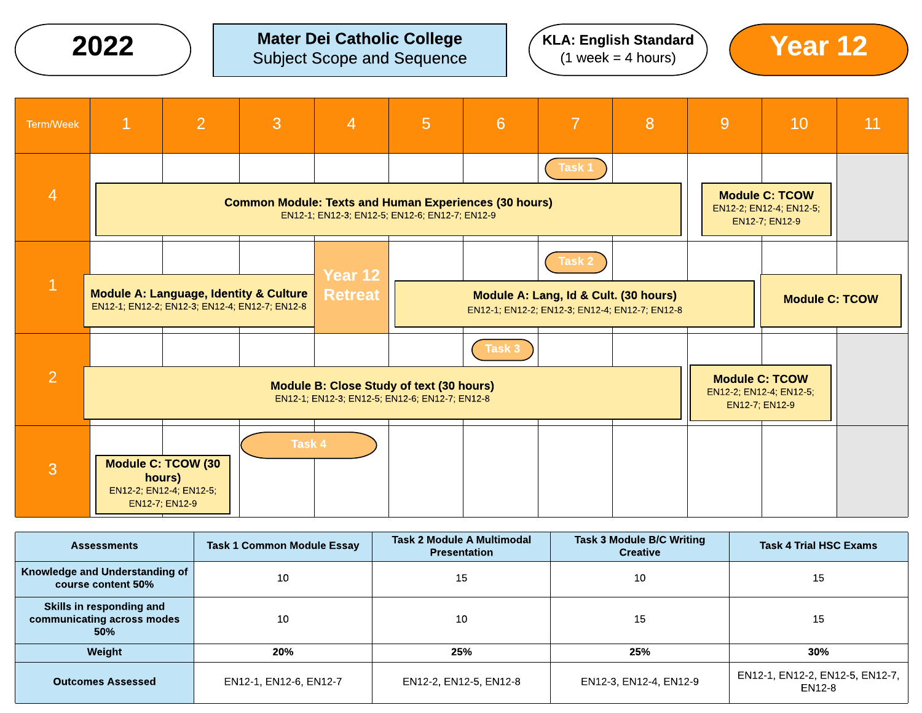# **2022**  $\bigcirc$  Mater Dei Catholic College  $\bigcirc$  (KLA: English Standard  $\bigcirc$  Year 12



| Term/Week      | $\mathbf{1}$                                                                                                   | $\overline{2}$                                                                   | 3      | $\overline{4}$ | 5 <sup>5</sup> | 6                                                                                          | $\overline{7}$ | 8 | 9                                         | 10                                                                 | 11 |
|----------------|----------------------------------------------------------------------------------------------------------------|----------------------------------------------------------------------------------|--------|----------------|----------------|--------------------------------------------------------------------------------------------|----------------|---|-------------------------------------------|--------------------------------------------------------------------|----|
| $\overline{4}$ |                                                                                                                |                                                                                  |        |                |                |                                                                                            | Task 1         |   |                                           | <b>Module C: TCOW</b>                                              |    |
|                | <b>Common Module: Texts and Human Experiences (30 hours)</b><br>EN12-1; EN12-3; EN12-5; EN12-6; EN12-7; EN12-9 |                                                                                  |        |                |                |                                                                                            |                |   | EN12-2; EN12-4; EN12-5;<br>EN12-7; EN12-9 |                                                                    |    |
|                |                                                                                                                |                                                                                  |        | Year 12        |                |                                                                                            | Task 2         |   |                                           |                                                                    |    |
| $\mathbf{1}$   | Module A: Language, Identity & Culture<br>EN12-1; EN12-2; EN12-3; EN12-4; EN12-7; EN12-8                       |                                                                                  |        | <b>Retreat</b> |                | Module A: Lang, Id & Cult. (30 hours)<br>EN12-1, EN12-2, EN12-3, EN12-4, EN12-7, EN12-8    |                |   |                                           | <b>Module C: TCOW</b>                                              |    |
|                |                                                                                                                |                                                                                  |        |                |                | Task 3                                                                                     |                |   |                                           |                                                                    |    |
| $\overline{2}$ |                                                                                                                |                                                                                  |        |                |                | Module B: Close Study of text (30 hours)<br>EN12-1, EN12-3, EN12-5, EN12-6, EN12-7, EN12-8 |                |   |                                           | <b>Module C: TCOW</b><br>EN12-2; EN12-4; EN12-5;<br>EN12-7; EN12-9 |    |
| 3              |                                                                                                                | <b>Module C: TCOW (30</b><br>hours)<br>EN12-2; EN12-4; EN12-5;<br>EN12-7; EN12-9 | Task 4 |                |                |                                                                                            |                |   |                                           |                                                                    |    |

| <b>Assessments</b>                                            | <b>Task 1 Common Module Essay</b> | <b>Task 2 Module A Multimodal</b><br><b>Presentation</b> | <b>Task 3 Module B/C Writing</b><br><b>Creative</b> | <b>Task 4 Trial HSC Exams</b>             |
|---------------------------------------------------------------|-----------------------------------|----------------------------------------------------------|-----------------------------------------------------|-------------------------------------------|
| Knowledge and Understanding of<br>course content 50%          | 10                                | 15                                                       | 10                                                  | 15                                        |
| Skills in responding and<br>communicating across modes<br>50% | 10                                | 10                                                       | 15                                                  | 15                                        |
| Weight                                                        | 20%                               | 25%                                                      | 25%                                                 | 30%                                       |
| <b>Outcomes Assessed</b>                                      | EN12-1, EN12-6, EN12-7            | EN12-2, EN12-5, EN12-8                                   | EN12-3, EN12-4, EN12-9                              | EN12-1, EN12-2, EN12-5, EN12-7,<br>EN12-8 |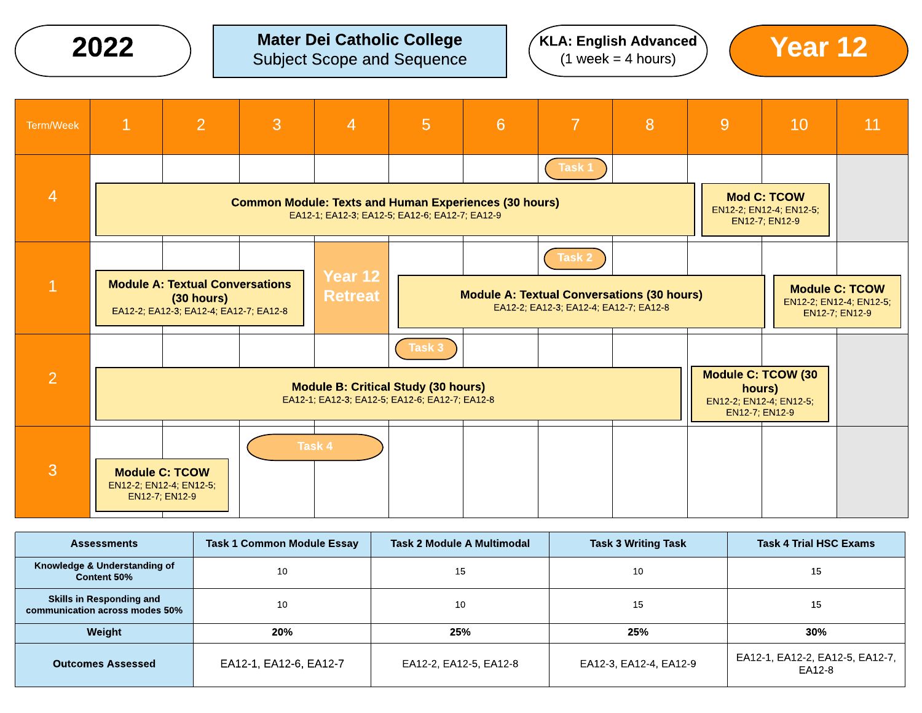# **2022**  $\bigcirc$  Mater Dei Catholic College  $\bigcirc$  (KLA: English Advanced) (Year 12

 $K$ LA: English Advanced  $(1$  week = 4 hours)



| Term/Week      | $\mathbf{1}$                                                                                   | $\overline{2}$                                                                                                 | $\overline{3}$ | $\overline{4}$            | 5 <sup>5</sup> | 6                                                                                           | 7      | 8 | 9 | 10                                                                               | 11                                                                 |
|----------------|------------------------------------------------------------------------------------------------|----------------------------------------------------------------------------------------------------------------|----------------|---------------------------|----------------|---------------------------------------------------------------------------------------------|--------|---|---|----------------------------------------------------------------------------------|--------------------------------------------------------------------|
|                |                                                                                                |                                                                                                                |                |                           |                |                                                                                             | Task 1 |   |   |                                                                                  |                                                                    |
| $\overline{4}$ |                                                                                                | <b>Common Module: Texts and Human Experiences (30 hours)</b><br>EA12-1; EA12-3; EA12-5; EA12-6; EA12-7; EA12-9 |                |                           |                |                                                                                             |        |   |   |                                                                                  |                                                                    |
|                |                                                                                                |                                                                                                                |                |                           |                |                                                                                             | Task 2 |   |   |                                                                                  |                                                                    |
|                | <b>Module A: Textual Conversations</b><br>(30 hours)<br>EA12-2; EA12-3; EA12-4; EA12-7; EA12-8 |                                                                                                                |                | Year 12<br><b>Retreat</b> |                | <b>Module A: Textual Conversations (30 hours)</b><br>EA12-2; EA12-3; EA12-4; EA12-7; EA12-8 |        |   |   |                                                                                  | <b>Module C: TCOW</b><br>EN12-2; EN12-4; EN12-5;<br>EN12-7; EN12-9 |
|                |                                                                                                |                                                                                                                |                |                           | Task 3         |                                                                                             |        |   |   |                                                                                  |                                                                    |
| $\overline{2}$ |                                                                                                | <b>Module B: Critical Study (30 hours)</b><br>EA12-1; EA12-3; EA12-5; EA12-6; EA12-7; EA12-8                   |                |                           |                |                                                                                             |        |   |   | <b>Module C: TCOW (30</b><br>hours)<br>EN12-2; EN12-4; EN12-5;<br>EN12-7; EN12-9 |                                                                    |
| 3              |                                                                                                | <b>Module C: TCOW</b><br>EN12-2; EN12-4; EN12-5;<br>EN12-7; EN12-9                                             |                | Task 4                    |                |                                                                                             |        |   |   |                                                                                  |                                                                    |

| <b>Assessments</b>                                                | <b>Task 1 Common Module Essay</b> | Task 2 Module A Multimodal | <b>Task 3 Writing Task</b> | <b>Task 4 Trial HSC Exams</b>             |
|-------------------------------------------------------------------|-----------------------------------|----------------------------|----------------------------|-------------------------------------------|
| Knowledge & Understanding of<br>Content 50%                       | 10                                | 15                         | 10                         | 15                                        |
| <b>Skills in Responding and</b><br>communication across modes 50% | 10                                | 10                         | 15                         | 15                                        |
| Weight                                                            | 20%                               | 25%                        | 25%                        | 30%                                       |
| <b>Outcomes Assessed</b>                                          | EA12-1, EA12-6, EA12-7            | EA12-2, EA12-5, EA12-8     | EA12-3, EA12-4, EA12-9     | EA12-1, EA12-2, EA12-5, EA12-7,<br>EA12-8 |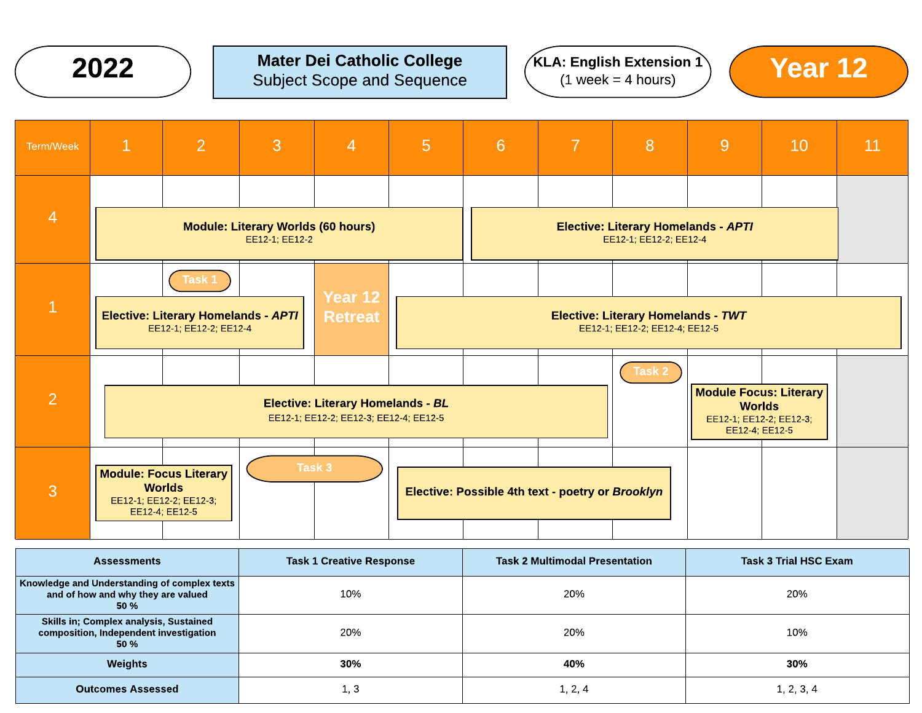

#### $2022$  ) Mater Dei Catholic College  $(1 \text{ week} = 4 \text{ hours})$   $(1 \text{ week} = 4 \text{ hours})$   $(2 \text{ year } 12)$ Subject Scope and Sequence







| <b>Assessments</b>                                                                              | <b>Task 1 Creative Response</b> | <b>Task 2 Multimodal Presentation</b> | <b>Task 3 Trial HSC Exam</b> |  |  |
|-------------------------------------------------------------------------------------------------|---------------------------------|---------------------------------------|------------------------------|--|--|
| Knowledge and Understanding of complex texts<br>and of how and why they are valued<br>50 %      | 10%                             | 20%                                   | 20%                          |  |  |
| <b>Skills in: Complex analysis, Sustained</b><br>composition, Independent investigation<br>50 % | 20%                             | 20%                                   | 10%                          |  |  |
| <b>Weights</b>                                                                                  | 30%                             | 40%                                   | 30%                          |  |  |
| <b>Outcomes Assessed</b>                                                                        | 1, 3                            | 1, 2, 4                               | 1, 2, 3, 4                   |  |  |